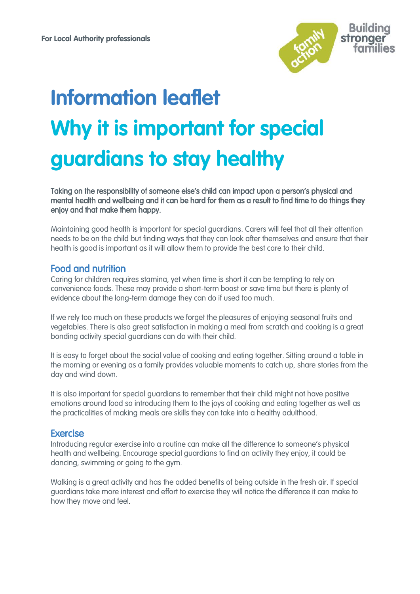

# **Information leaflet Why it is important for special guardians to stay healthy**

Taking on the responsibility of someone else's child can impact upon a person's physical and mental health and wellbeing and it can be hard for them as a result to find time to do things they enjoy and that make them happy.

Maintaining good health is important for special guardians. Carers will feel that all their attention needs to be on the child but finding ways that they can look after themselves and ensure that their health is good is important as it will allow them to provide the best care to their child.

# Food and nutrition

Caring for children requires stamina, yet when time is short it can be tempting to rely on convenience foods. These may provide a short-term boost or save time but there is plenty of evidence about the long-term damage they can do if used too much.

If we rely too much on these products we forget the pleasures of enjoying seasonal fruits and vegetables. There is also great satisfaction in making a meal from scratch and cooking is a great bonding activity special guardians can do with their child.

It is easy to forget about the social value of cooking and eating together. Sitting around a table in the morning or evening as a family provides valuable moments to catch up, share stories from the day and wind down.

It is also important for special guardians to remember that their child might not have positive emotions around food so introducing them to the joys of cooking and eating together as well as the practicalities of making meals are skills they can take into a healthy adulthood.

## **Exercise**

Introducing regular exercise into a routine can make all the difference to someone's physical health and wellbeing. Encourage special guardians to find an activity they enjoy, it could be dancing, swimming or going to the gym.

Walking is a great activity and has the added benefits of being outside in the fresh air. If special guardians take more interest and effort to exercise they will notice the difference it can make to how they move and feel.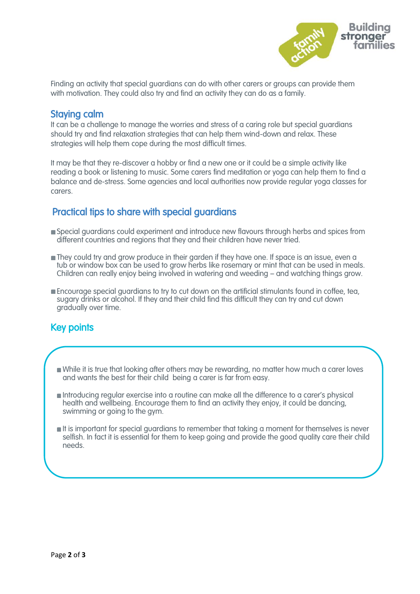

Finding an activity that special guardians can do with other carers or groups can provide them with motivation. They could also try and find an activity they can do as a family.

## Staying calm

It can be a challenge to manage the worries and stress of a caring role but special guardians should try and find relaxation strategies that can help them wind-down and relax. These strategies will help them cope during the most difficult times.

It may be that they re-discover a hobby or find a new one or it could be a simple activity like reading a book or listening to music. Some carers find meditation or yoga can help them to find a balance and de-stress. Some agencies and local authorities now provide regular yoga classes for carers

# Practical tips to share with special guardians

- Special guardians could experiment and introduce new flavours through herbs and spices from different countries and regions that they and their children have never tried.
- They could try and grow produce in their garden if they have one. If space is an issue, even a tub or window box can be used to grow herbs like rosemary or mint that can be used in meals. Children can really enjoy being involved in watering and weeding – and watching things grow.
- **Encourage special guardians to try to cut down on the artificial stimulants found in coffee, tea,** sugary drinks or alcohol. If they and their child find this difficult they can try and cut down gradually over time.

# Key points

 ſ

 $\overline{\phantom{0}}$ 

- While it is true that looking after others may be rewarding, no matter how much a carer loves and wants the best for their child being a carer is far from easy.
- Introducing regular exercise into a routine can make all the difference to a carer's physical health and wellbeing. Encourage them to find an activity they enjoy, it could be dancing, swimming or going to the gym.
- It is important for special guardians to remember that taking a moment for themselves is never selfish. In fact it is essential for them to keep going and provide the good quality care their child needs.